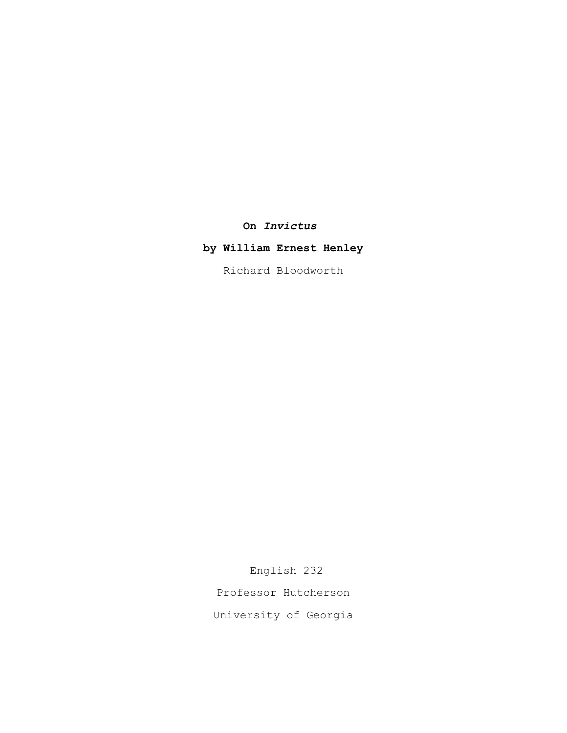## **On** *Invictus*

## **by William Ernest Henley**

Richard Bloodworth

 English 232 Professor Hutcherson University of Georgia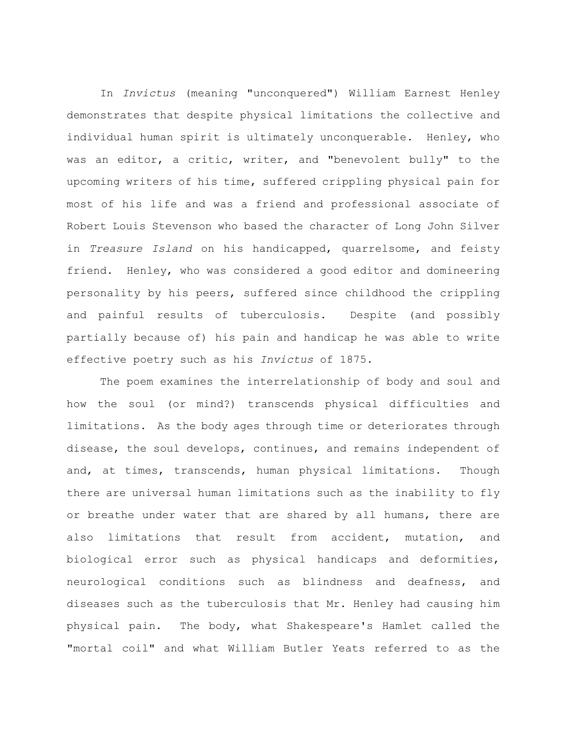In *Invictus* (meaning "unconquered") William Earnest Henley demonstrates that despite physical limitations the collective and individual human spirit is ultimately unconquerable. Henley, who was an editor, a critic, writer, and "benevolent bully" to the upcoming writers of his time, suffered crippling physical pain for most of his life and was a friend and professional associate of Robert Louis Stevenson who based the character of Long John Silver in *Treasure Island* on his handicapped, quarrelsome, and feisty friend. Henley, who was considered a good editor and domineering personality by his peers, suffered since childhood the crippling and painful results of tuberculosis. Despite (and possibly partially because of) his pain and handicap he was able to write effective poetry such as his *Invictus* of 1875.

The poem examines the interrelationship of body and soul and how the soul (or mind?) transcends physical difficulties and limitations. As the body ages through time or deteriorates through disease, the soul develops, continues, and remains independent of and, at times, transcends, human physical limitations. Though there are universal human limitations such as the inability to fly or breathe under water that are shared by all humans, there are also limitations that result from accident, mutation, and biological error such as physical handicaps and deformities, neurological conditions such as blindness and deafness, and diseases such as the tuberculosis that Mr. Henley had causing him physical pain. The body, what Shakespeare's Hamlet called the "mortal coil" and what William Butler Yeats referred to as the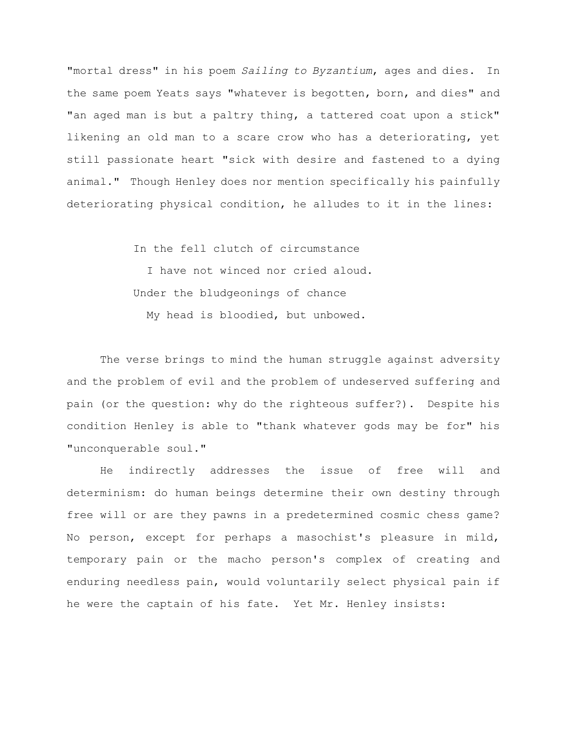"mortal dress" in his poem *Sailing to Byzantium*, ages and dies. In the same poem Yeats says "whatever is begotten, born, and dies" and "an aged man is but a paltry thing, a tattered coat upon a stick" likening an old man to a scare crow who has a deteriorating, yet still passionate heart "sick with desire and fastened to a dying animal." Though Henley does nor mention specifically his painfully deteriorating physical condition, he alludes to it in the lines:

> In the fell clutch of circumstance I have not winced nor cried aloud. Under the bludgeonings of chance My head is bloodied, but unbowed.

The verse brings to mind the human struggle against adversity and the problem of evil and the problem of undeserved suffering and pain (or the question: why do the righteous suffer?). Despite his condition Henley is able to "thank whatever gods may be for" his "unconquerable soul."

He indirectly addresses the issue of free will and determinism: do human beings determine their own destiny through free will or are they pawns in a predetermined cosmic chess game? No person, except for perhaps a masochist's pleasure in mild, temporary pain or the macho person's complex of creating and enduring needless pain, would voluntarily select physical pain if he were the captain of his fate. Yet Mr. Henley insists: